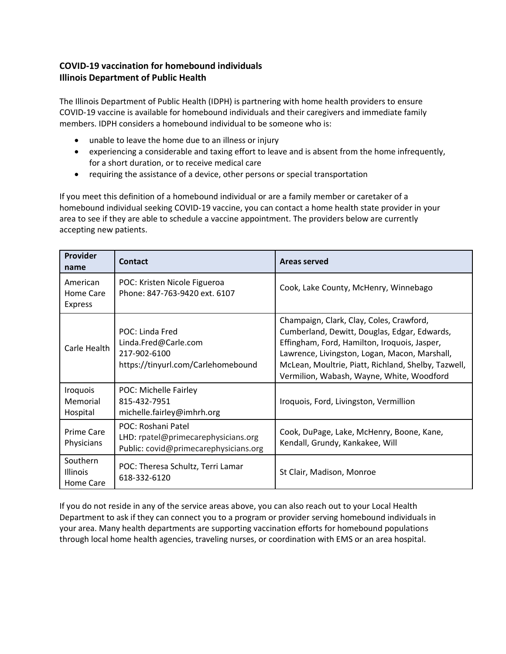## **COVID-19 vaccination for homebound individuals Illinois Department of Public Health**

The Illinois Department of Public Health (IDPH) is partnering with home health providers to ensure COVID-19 vaccine is available for homebound individuals and their caregivers and immediate family members. IDPH considers a homebound individual to be someone who is:

- unable to leave the home due to an illness or injury
- experiencing a considerable and taxing effort to leave and is absent from the home infrequently, for a short duration, or to receive medical care
- requiring the assistance of a device, other persons or special transportation

If you meet this definition of a homebound individual or are a family member or caretaker of a homebound individual seeking COVID-19 vaccine, you can contact a home health state provider in your area to see if they are able to schedule a vaccine appointment. The providers below are currently accepting new patients.

| Provider<br>name                         | <b>Contact</b>                                                                                     | <b>Areas served</b>                                                                                                                                                                                                                                                                           |
|------------------------------------------|----------------------------------------------------------------------------------------------------|-----------------------------------------------------------------------------------------------------------------------------------------------------------------------------------------------------------------------------------------------------------------------------------------------|
| American<br>Home Care<br><b>Express</b>  | POC: Kristen Nicole Figueroa<br>Phone: 847-763-9420 ext. 6107                                      | Cook, Lake County, McHenry, Winnebago                                                                                                                                                                                                                                                         |
| Carle Health                             | POC: Linda Fred<br>Linda.Fred@Carle.com<br>217-902-6100<br>https://tinyurl.com/Carlehomebound      | Champaign, Clark, Clay, Coles, Crawford,<br>Cumberland, Dewitt, Douglas, Edgar, Edwards,<br>Effingham, Ford, Hamilton, Iroquois, Jasper,<br>Lawrence, Livingston, Logan, Macon, Marshall,<br>McLean, Moultrie, Piatt, Richland, Shelby, Tazwell,<br>Vermilion, Wabash, Wayne, White, Woodford |
| Iroquois<br>Memorial<br>Hospital         | POC: Michelle Fairley<br>815-432-7951<br>michelle.fairley@imhrh.org                                | Iroquois, Ford, Livingston, Vermillion                                                                                                                                                                                                                                                        |
| Prime Care<br>Physicians                 | POC: Roshani Patel<br>LHD: rpatel@primecarephysicians.org<br>Public: covid@primecarephysicians.org | Cook, DuPage, Lake, McHenry, Boone, Kane,<br>Kendall, Grundy, Kankakee, Will                                                                                                                                                                                                                  |
| Southern<br><b>Illinois</b><br>Home Care | POC: Theresa Schultz, Terri Lamar<br>618-332-6120                                                  | St Clair, Madison, Monroe                                                                                                                                                                                                                                                                     |

If you do not reside in any of the service areas above, you can also reach out to your Local Health Department to ask if they can connect you to a program or provider serving homebound individuals in your area. Many health departments are supporting vaccination efforts for homebound populations through local home health agencies, traveling nurses, or coordination with EMS or an area hospital.